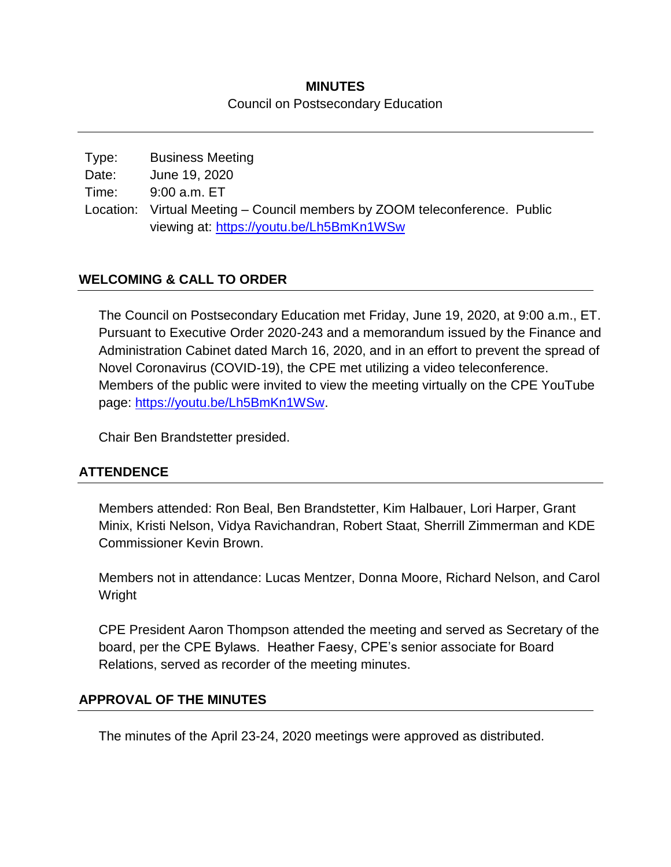### **MINUTES** Council on Postsecondary Education

| Type: | <b>Business Meeting</b>                                                    |  |
|-------|----------------------------------------------------------------------------|--|
| Date: | June 19, 2020                                                              |  |
| Time: | 9:00 a.m. ET                                                               |  |
|       | Location: Virtual Meeting – Council members by ZOOM teleconference. Public |  |
|       | viewing at: https://youtu.be/Lh5BmKn1WSw                                   |  |

### **WELCOMING & CALL TO ORDER**

The Council on Postsecondary Education met Friday, June 19, 2020, at 9:00 a.m., ET. Pursuant to Executive Order 2020-243 and a memorandum issued by the Finance and Administration Cabinet dated March 16, 2020, and in an effort to prevent the spread of Novel Coronavirus (COVID-19), the CPE met utilizing a video teleconference. Members of the public were invited to view the meeting virtually on the CPE YouTube page: [https://youtu.be/Lh5BmKn1WSw.](https://youtu.be/Lh5BmKn1WSw)

Chair Ben Brandstetter presided.

#### **ATTENDENCE**

Members attended: Ron Beal, Ben Brandstetter, Kim Halbauer, Lori Harper, Grant Minix, Kristi Nelson, Vidya Ravichandran, Robert Staat, Sherrill Zimmerman and KDE Commissioner Kevin Brown.

Members not in attendance: Lucas Mentzer, Donna Moore, Richard Nelson, and Carol Wright

CPE President Aaron Thompson attended the meeting and served as Secretary of the board, per the CPE Bylaws. Heather Faesy, CPE's senior associate for Board Relations, served as recorder of the meeting minutes.

#### **APPROVAL OF THE MINUTES**

The minutes of the April 23-24, 2020 meetings were approved as distributed.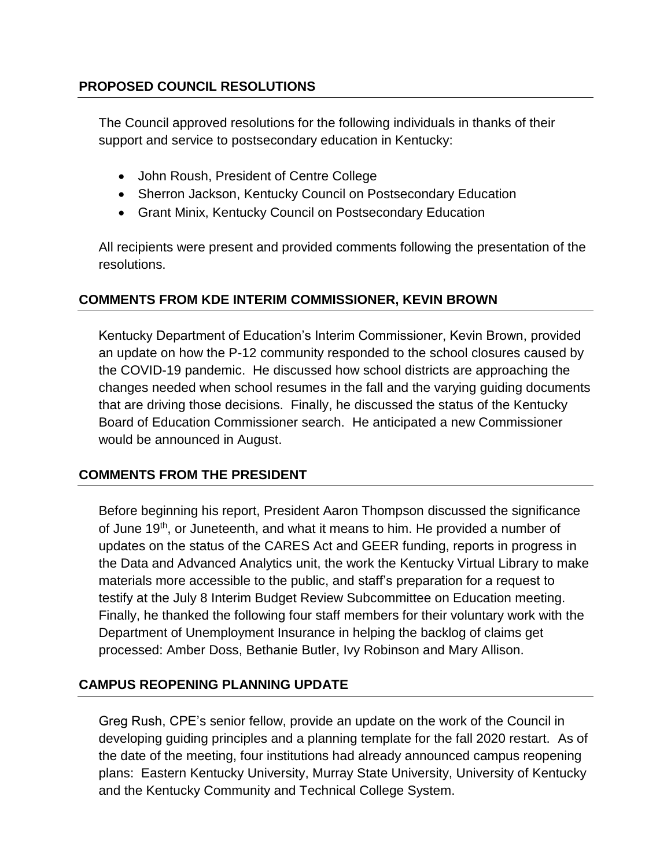### **PROPOSED COUNCIL RESOLUTIONS**

The Council approved resolutions for the following individuals in thanks of their support and service to postsecondary education in Kentucky:

- John Roush, President of Centre College
- Sherron Jackson, Kentucky Council on Postsecondary Education
- Grant Minix, Kentucky Council on Postsecondary Education

All recipients were present and provided comments following the presentation of the resolutions.

## **COMMENTS FROM KDE INTERIM COMMISSIONER, KEVIN BROWN**

Kentucky Department of Education's Interim Commissioner, Kevin Brown, provided an update on how the P-12 community responded to the school closures caused by the COVID-19 pandemic. He discussed how school districts are approaching the changes needed when school resumes in the fall and the varying guiding documents that are driving those decisions. Finally, he discussed the status of the Kentucky Board of Education Commissioner search. He anticipated a new Commissioner would be announced in August.

#### **COMMENTS FROM THE PRESIDENT**

Before beginning his report, President Aaron Thompson discussed the significance of June 19<sup>th</sup>, or Juneteenth, and what it means to him. He provided a number of updates on the status of the CARES Act and GEER funding, reports in progress in the Data and Advanced Analytics unit, the work the Kentucky Virtual Library to make materials more accessible to the public, and staff's preparation for a request to testify at the July 8 Interim Budget Review Subcommittee on Education meeting. Finally, he thanked the following four staff members for their voluntary work with the Department of Unemployment Insurance in helping the backlog of claims get processed: Amber Doss, Bethanie Butler, Ivy Robinson and Mary Allison.

## **CAMPUS REOPENING PLANNING UPDATE**

Greg Rush, CPE's senior fellow, provide an update on the work of the Council in developing guiding principles and a planning template for the fall 2020 restart. As of the date of the meeting, four institutions had already announced campus reopening plans: Eastern Kentucky University, Murray State University, University of Kentucky and the Kentucky Community and Technical College System.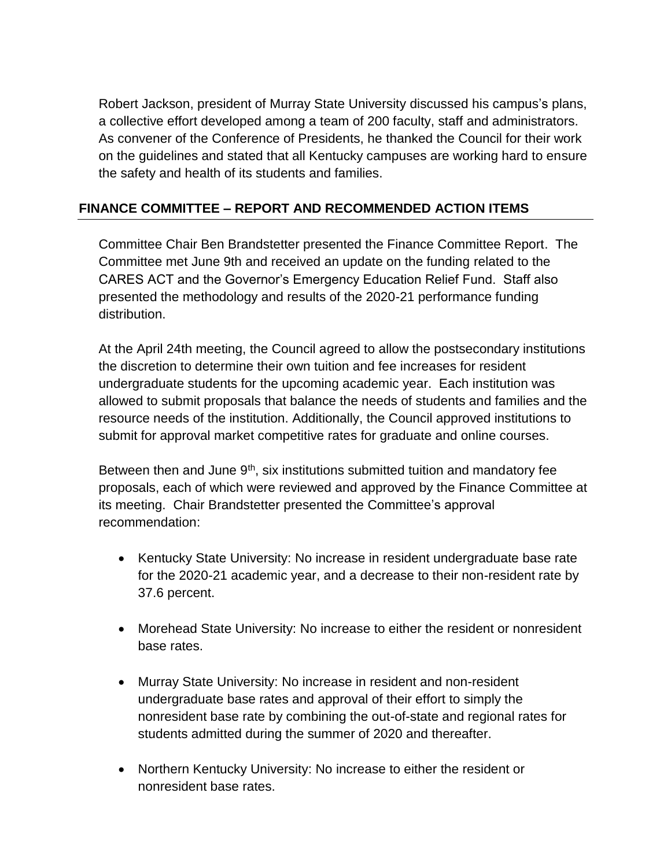Robert Jackson, president of Murray State University discussed his campus's plans, a collective effort developed among a team of 200 faculty, staff and administrators. As convener of the Conference of Presidents, he thanked the Council for their work on the guidelines and stated that all Kentucky campuses are working hard to ensure the safety and health of its students and families.

### **FINANCE COMMITTEE – REPORT AND RECOMMENDED ACTION ITEMS**

Committee Chair Ben Brandstetter presented the Finance Committee Report. The Committee met June 9th and received an update on the funding related to the CARES ACT and the Governor's Emergency Education Relief Fund. Staff also presented the methodology and results of the 2020-21 performance funding distribution.

At the April 24th meeting, the Council agreed to allow the postsecondary institutions the discretion to determine their own tuition and fee increases for resident undergraduate students for the upcoming academic year. Each institution was allowed to submit proposals that balance the needs of students and families and the resource needs of the institution. Additionally, the Council approved institutions to submit for approval market competitive rates for graduate and online courses.

Between then and June  $9<sup>th</sup>$ , six institutions submitted tuition and mandatory fee proposals, each of which were reviewed and approved by the Finance Committee at its meeting. Chair Brandstetter presented the Committee's approval recommendation:

- Kentucky State University: No increase in resident undergraduate base rate for the 2020-21 academic year, and a decrease to their non-resident rate by 37.6 percent.
- Morehead State University: No increase to either the resident or nonresident base rates.
- Murray State University: No increase in resident and non-resident undergraduate base rates and approval of their effort to simply the nonresident base rate by combining the out-of-state and regional rates for students admitted during the summer of 2020 and thereafter.
- Northern Kentucky University: No increase to either the resident or nonresident base rates.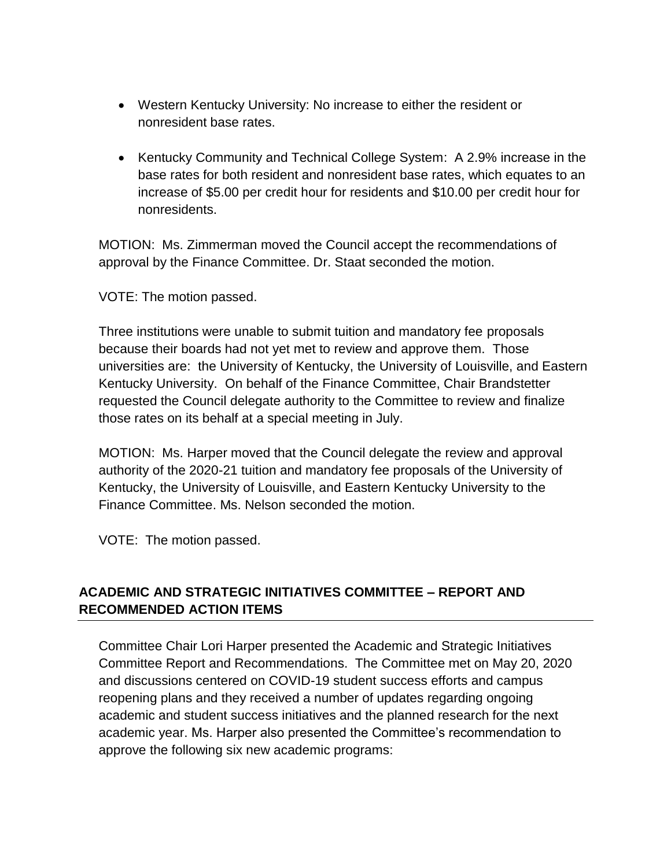- Western Kentucky University: No increase to either the resident or nonresident base rates.
- Kentucky Community and Technical College System: A 2.9% increase in the base rates for both resident and nonresident base rates, which equates to an increase of \$5.00 per credit hour for residents and \$10.00 per credit hour for nonresidents.

MOTION: Ms. Zimmerman moved the Council accept the recommendations of approval by the Finance Committee. Dr. Staat seconded the motion.

VOTE: The motion passed.

Three institutions were unable to submit tuition and mandatory fee proposals because their boards had not yet met to review and approve them. Those universities are: the University of Kentucky, the University of Louisville, and Eastern Kentucky University. On behalf of the Finance Committee, Chair Brandstetter requested the Council delegate authority to the Committee to review and finalize those rates on its behalf at a special meeting in July.

MOTION: Ms. Harper moved that the Council delegate the review and approval authority of the 2020-21 tuition and mandatory fee proposals of the University of Kentucky, the University of Louisville, and Eastern Kentucky University to the Finance Committee. Ms. Nelson seconded the motion.

VOTE: The motion passed.

## **ACADEMIC AND STRATEGIC INITIATIVES COMMITTEE – REPORT AND RECOMMENDED ACTION ITEMS**

Committee Chair Lori Harper presented the Academic and Strategic Initiatives Committee Report and Recommendations. The Committee met on May 20, 2020 and discussions centered on COVID-19 student success efforts and campus reopening plans and they received a number of updates regarding ongoing academic and student success initiatives and the planned research for the next academic year. Ms. Harper also presented the Committee's recommendation to approve the following six new academic programs: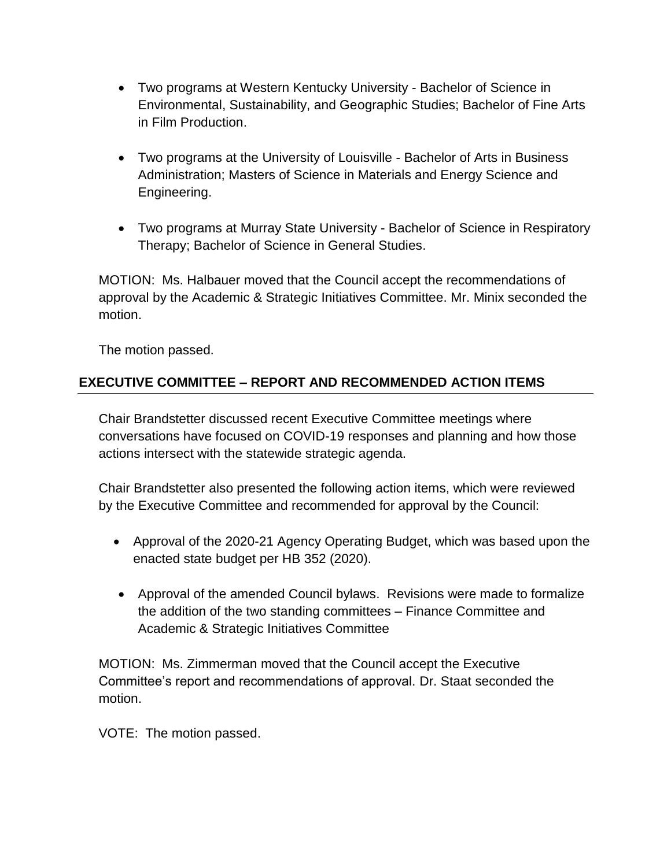- Two programs at Western Kentucky University Bachelor of Science in Environmental, Sustainability, and Geographic Studies; Bachelor of Fine Arts in Film Production.
- Two programs at the University of Louisville Bachelor of Arts in Business Administration; Masters of Science in Materials and Energy Science and Engineering.
- Two programs at Murray State University Bachelor of Science in Respiratory Therapy; Bachelor of Science in General Studies.

MOTION: Ms. Halbauer moved that the Council accept the recommendations of approval by the Academic & Strategic Initiatives Committee. Mr. Minix seconded the motion.

The motion passed.

# **EXECUTIVE COMMITTEE – REPORT AND RECOMMENDED ACTION ITEMS**

Chair Brandstetter discussed recent Executive Committee meetings where conversations have focused on COVID-19 responses and planning and how those actions intersect with the statewide strategic agenda.

Chair Brandstetter also presented the following action items, which were reviewed by the Executive Committee and recommended for approval by the Council:

- Approval of the 2020-21 Agency Operating Budget, which was based upon the enacted state budget per HB 352 (2020).
- Approval of the amended Council bylaws. Revisions were made to formalize the addition of the two standing committees – Finance Committee and Academic & Strategic Initiatives Committee

MOTION: Ms. Zimmerman moved that the Council accept the Executive Committee's report and recommendations of approval. Dr. Staat seconded the motion.

VOTE: The motion passed.